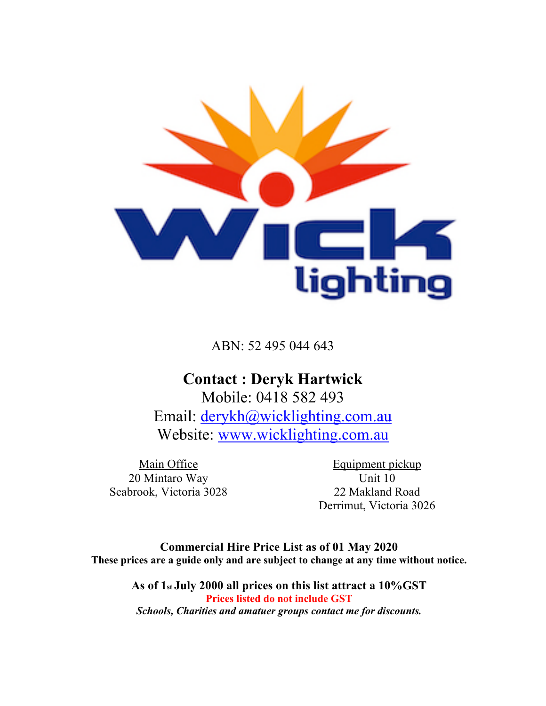

ABN: 52 495 044 643

### **Contact : Deryk Hartwick**

Mobile: 0418 582 493 Email: derykh@wicklighting.com.au Website: www.wicklighting.com.au

Main Office 20 Mintaro Way Seabrook, Victoria 3028

Equipment pickup Unit 10 22 Makland Road Derrimut, Victoria 3026

**Commercial Hire Price List as of 01 May 2020 These prices are a guide only and are subject to change at any time without notice.**

> **As of 1st July 2000 all prices on this list attract a 10%GST Prices listed do not include GST** *Schools, Charities and amatuer groups contact me for discounts.*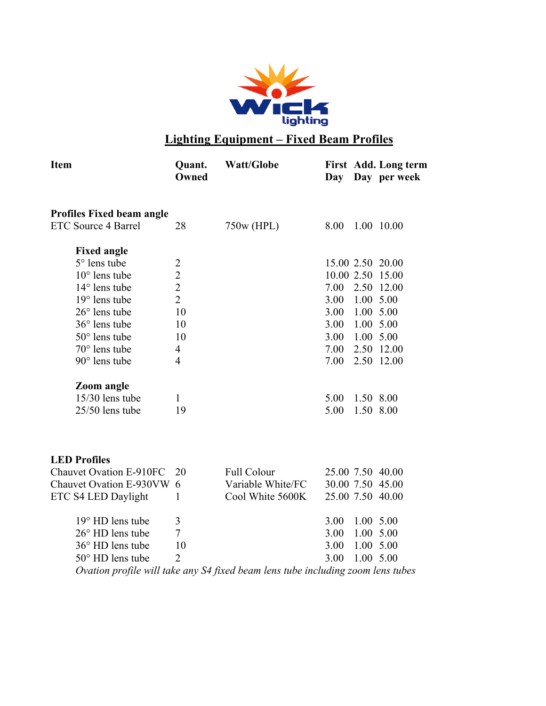

### **Lighting Equipment – Fixed Beam Profiles**

| <b>Item</b>                      | Quant.<br>Owned | <b>Watt/Globe</b> | Day        |           | First Add. Long term<br>Day per week |
|----------------------------------|-----------------|-------------------|------------|-----------|--------------------------------------|
| <b>Profiles Fixed beam angle</b> |                 |                   |            |           |                                      |
| ETC Source 4 Barrel              | 28              | 750w (HPL)        | 8.00       |           | 1.00 10.00                           |
| <b>Fixed angle</b>               |                 |                   |            |           |                                      |
| $5^\circ$ lens tube              | 2               |                   |            |           | 15.00 2.50 20.00                     |
| $10^{\circ}$ lens tube           | $\overline{2}$  |                   | 10.00 2.50 |           | 15.00                                |
| $14^{\circ}$ lens tube           | $\overline{2}$  |                   | 7.00       | 2.50      | 12.00                                |
| $19^{\circ}$ lens tube           | $\overline{2}$  |                   | 3.00       | 1.00      | 5.00                                 |
| $26^{\circ}$ lens tube           | 10              |                   | 3.00       | 1.00 5.00 |                                      |
| $36^{\circ}$ lens tube           | 10              |                   | 3.00       | 1.00      | 5.00                                 |
| $50^{\circ}$ lens tube           | 10              |                   | 3.00       | 1.00 5.00 |                                      |
| $70^{\circ}$ lens tube           | 4               |                   | 7.00       | 2.50      | 12.00                                |
| $90^\circ$ lens tube             | $\overline{4}$  |                   | 7.00       |           | 2.50 12.00                           |
| <b>Zoom</b> angle                |                 |                   |            |           |                                      |
| 15/30 lens tube                  | 1               |                   | 5.00       | 1.50 8.00 |                                      |
| 25/50 lens tube                  | 19              |                   | 5.00       | 1.50 8.00 |                                      |
| <b>LED</b> Profiles              |                 |                   |            |           |                                      |

| Chauvet Ovation E-910FC 20                                                      |                             | <b>Full Colour</b> | 25.00 7.50 40.00 |               |  |  |
|---------------------------------------------------------------------------------|-----------------------------|--------------------|------------------|---------------|--|--|
| Chauvet Ovation E-930VW 6                                                       |                             | Variable White/FC  | 30.00 7.50 45.00 |               |  |  |
| ETC S4 LED Daylight                                                             |                             | Cool White 5600K   | 25.00 7.50 40.00 |               |  |  |
| $19^{\circ}$ HD lens tube                                                       | 3                           |                    | 3.00             | 1.00 5.00     |  |  |
| $26^{\circ}$ HD lens tube                                                       | 7                           |                    | 3 OO             | $1.00\,5.00$  |  |  |
| $36^{\circ}$ HD lens tube                                                       | 10                          |                    | 3 OO             | 1.00 5.00     |  |  |
| $50^{\circ}$ HD lens tube                                                       | $\mathcal{D}_{\mathcal{L}}$ |                    | 3 OO             | $1.00 \t5.00$ |  |  |
| Ovation profile will take any S4 fixed beam lens tube including zoom lens tubes |                             |                    |                  |               |  |  |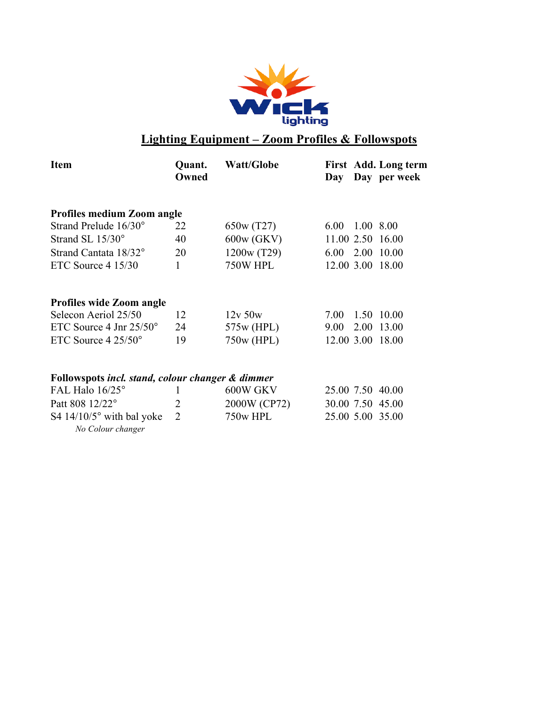

### **Lighting Equipment – Zoom Profiles & Followspots**

| <b>Item</b>                                      | Quant.<br>Owned | <b>Watt/Globe</b> | Day        |           | First Add. Long term<br>Day per week |
|--------------------------------------------------|-----------------|-------------------|------------|-----------|--------------------------------------|
| <b>Profiles medium Zoom angle</b>                |                 |                   |            |           |                                      |
| Strand Prelude 16/30°                            | 22              | 650w (T27)        | 6.00       | 1.00 8.00 |                                      |
| Strand SL 15/30°                                 | 40              | 600w (GKV)        |            |           | 11.00 2.50 16.00                     |
| Strand Cantata 18/32°                            | 20              | 1200w (T29)       | 6.00       |           | 2.00 10.00                           |
| ETC Source $4\,15/30$                            | 1               | <b>750W HPL</b>   | 12.00 3.00 |           | 18.00                                |
| <b>Profiles wide Zoom angle</b>                  |                 |                   |            |           |                                      |
| Selecon Aeriol 25/50                             | 12              | $12v$ 50 $w$      | 7.00       |           | 1.50 10.00                           |
| ETC Source 4 Jnr $25/50^{\circ}$                 | 24              | 575w (HPL)        | 9.00       | 2.00      | 13.00                                |
| ETC Source $4\,25/50^{\circ}$                    | 19              | 750w (HPL)        | 12.00 3.00 |           | 18.00                                |
| Followspots incl. stand, colour changer & dimmer |                 |                   |            |           |                                      |
| FAL Halo $16/25^\circ$                           | 1               | 600W GKV          |            |           | 25.00 7.50 40.00                     |
| Patt 808 12/22°                                  | 2               | 2000W (CP72)      |            |           | 30.00 7.50 45.00                     |

S4 14/10/5° with bal yoke 2 750w HPL 25.00 5.00 35.00

*No Colour changer*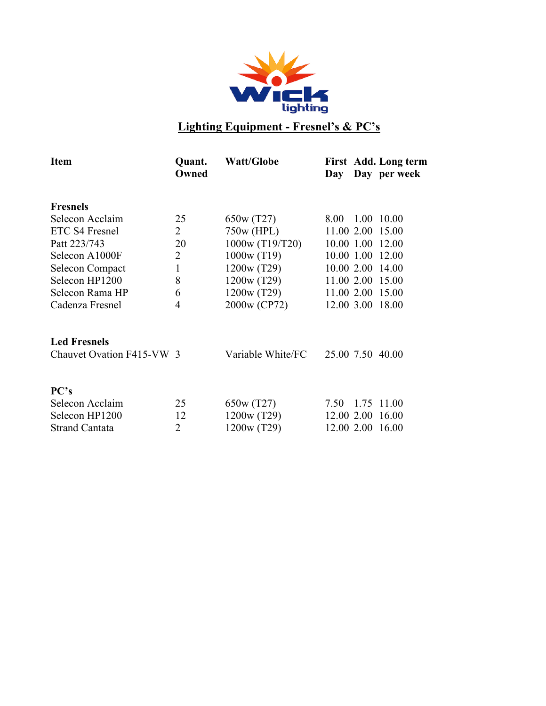

# **Lighting Equipment - Fresnel's & PC's**

| Quant.<br>Owned           | <b>Watt/Globe</b> | Day  |      | Day per week                                                                                                                                                           |
|---------------------------|-------------------|------|------|------------------------------------------------------------------------------------------------------------------------------------------------------------------------|
|                           |                   |      |      |                                                                                                                                                                        |
| 25                        | 650w (T27)        | 8.00 | 1.00 | 10.00                                                                                                                                                                  |
| $\overline{2}$            | 750w (HPL)        |      |      | 15.00                                                                                                                                                                  |
| 20                        | 1000w (T19/T20)   |      |      | 12.00                                                                                                                                                                  |
| $\overline{2}$            | 1000w(T19)        |      |      | 12.00                                                                                                                                                                  |
| 1                         | 1200w (T29)       |      |      | 14.00                                                                                                                                                                  |
| 8                         | 1200w (T29)       |      |      | 15.00                                                                                                                                                                  |
| 6                         | 1200w (T29)       |      |      | 15.00                                                                                                                                                                  |
| 4                         | 2000w (CP72)      |      |      | 18.00                                                                                                                                                                  |
|                           |                   |      |      |                                                                                                                                                                        |
| Chauvet Ovation F415-VW 3 | Variable White/FC |      |      |                                                                                                                                                                        |
|                           |                   |      |      |                                                                                                                                                                        |
| 25                        | 650w (T27)        | 7.50 |      | 1.75 11.00                                                                                                                                                             |
| 12                        | 1200w (T29)       |      |      | 16.00                                                                                                                                                                  |
| 2                         | 1200w (T29)       |      |      | 16.00                                                                                                                                                                  |
|                           |                   |      |      | First Add. Long term<br>11.00 2.00<br>10.00 1.00<br>10.00 1.00<br>10.00 2.00<br>11.00 2.00<br>11.00 2.00<br>12.00 3.00<br>25.00 7.50 40.00<br>12.00 2.00<br>12.00 2.00 |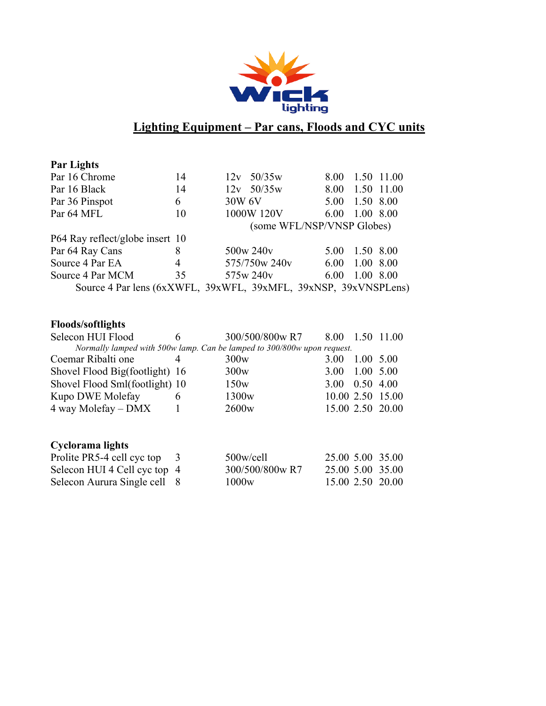

### **Lighting Equipment – Par cans, Floods and CYC units**

| <b>Par Lights</b>               |    |                                                                 |      |                 |
|---------------------------------|----|-----------------------------------------------------------------|------|-----------------|
| Par 16 Chrome                   | 14 | 50/35w<br>12v                                                   | 8.00 | 1.50 11.00      |
| Par 16 Black                    | 14 | $12v$ 50/35w                                                    |      | 8.00 1.50 11.00 |
| Par 36 Pinspot                  | 6  | 30W 6V                                                          | 5.00 | 1.50 8.00       |
| Par 64 MFL                      | 10 | 1000W 120V                                                      | 6.00 | 1.00 8.00       |
|                                 |    | (some WFL/NSP/VNSP Globes)                                      |      |                 |
| P64 Ray reflect/globe insert 10 |    |                                                                 |      |                 |
| Par 64 Ray Cans                 | 8  | 500w 240y                                                       | 5.00 | 1.50 8.00       |
| Source 4 Par EA                 | 4  | 575/750w 240y                                                   | 6.00 | 1.00 8.00       |
| Source 4 Par MCM                | 35 | 575w 240y                                                       | 6.00 | 1.00 8.00       |
|                                 |    | Source 4 Par lens (6xXWFL, 39xWFL, 39xMFL, 39xNSP, 39xVNSPLens) |      |                 |

### **Floods/softlights**

| Selecon HUI Flood                                                       | 6   | 300/500/800w R7   | 8.00 | 1.50 | 11.00            |  |  |
|-------------------------------------------------------------------------|-----|-------------------|------|------|------------------|--|--|
| Normally lamped with 500w lamp. Can be lamped to 300/800w upon request. |     |                   |      |      |                  |  |  |
| Coemar Ribalti one                                                      | 4   | 300w              | 3.00 | 1.00 | 5.00             |  |  |
| Shovel Flood Big(footlight) 16                                          |     | 300w              | 3.00 | 1.00 | 5.00             |  |  |
| Shovel Flood Sml(footlight) 10                                          |     | 150w              | 3.00 | 0.50 | 4.00             |  |  |
| Kupo DWE Molefay                                                        | 6   | 1300 <sub>w</sub> |      |      | 10.00 2.50 15.00 |  |  |
| 4 way Molefay – DMX                                                     |     | 2600 <sub>w</sub> |      |      | 15.00 2.50 20.00 |  |  |
| Cyclorama lights                                                        |     |                   |      |      |                  |  |  |
| Prolite PR5-4 cell cyc top                                              | - 3 | $500$ w/cell      |      |      | 25.00 5.00 35.00 |  |  |
| Selecon HUI 4 Cell cyc top 4                                            |     | 300/500/800w R7   |      |      | 25.00 5.00 35.00 |  |  |
| Selecon Aurura Single cell                                              | 8   | 1000 <sub>w</sub> |      |      | 15.00 2.50 20.00 |  |  |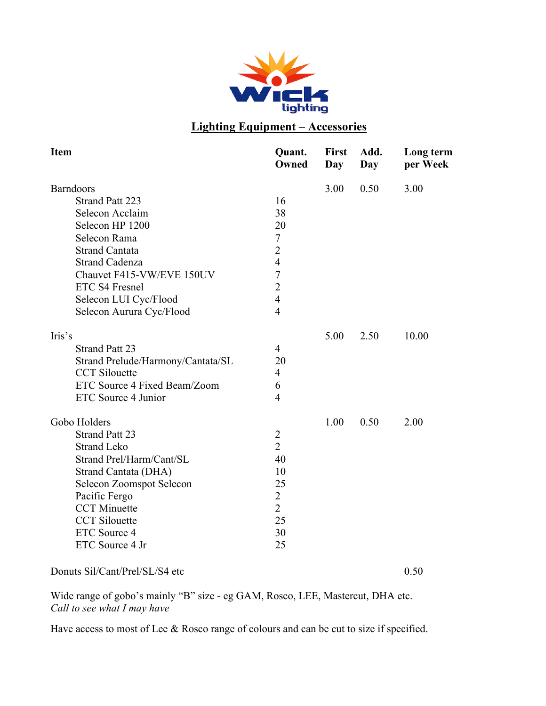

### **Lighting Equipment – Accessories**

| <b>Item</b>                       | Quant.<br>Owned | <b>First</b><br><b>Day</b> | Add.<br>Day | Long term<br>per Week |
|-----------------------------------|-----------------|----------------------------|-------------|-----------------------|
| <b>Barndoors</b>                  |                 | 3.00                       | 0.50        | 3.00                  |
| <b>Strand Patt 223</b>            | 16              |                            |             |                       |
| Selecon Acclaim                   | 38              |                            |             |                       |
| Selecon HP 1200                   | 20              |                            |             |                       |
| Selecon Rama                      | 7               |                            |             |                       |
| <b>Strand Cantata</b>             | $\overline{2}$  |                            |             |                       |
| <b>Strand Cadenza</b>             | $\overline{4}$  |                            |             |                       |
| Chauvet F415-VW/EVE 150UV         | $\overline{7}$  |                            |             |                       |
| ETC S4 Fresnel                    | $\overline{2}$  |                            |             |                       |
| Selecon LUI Cyc/Flood             | $\overline{4}$  |                            |             |                       |
| Selecon Aurura Cyc/Flood          | $\overline{4}$  |                            |             |                       |
| Iris's                            |                 | 5.00                       | 2.50        | 10.00                 |
| <b>Strand Patt 23</b>             | $\overline{4}$  |                            |             |                       |
| Strand Prelude/Harmony/Cantata/SL | 20              |                            |             |                       |
| <b>CCT</b> Silouette              | $\overline{4}$  |                            |             |                       |
| ETC Source 4 Fixed Beam/Zoom      | 6               |                            |             |                       |
| ETC Source 4 Junior               | $\overline{4}$  |                            |             |                       |
| Gobo Holders                      |                 | 1.00                       | 0.50        | 2.00                  |
| <b>Strand Patt 23</b>             | $\overline{2}$  |                            |             |                       |
| <b>Strand Leko</b>                | $\overline{2}$  |                            |             |                       |
| Strand Prel/Harm/Cant/SL          | 40              |                            |             |                       |
| Strand Cantata (DHA)              | 10              |                            |             |                       |
| <b>Selecon Zoomspot Selecon</b>   | 25              |                            |             |                       |
| Pacific Fergo                     | $\overline{2}$  |                            |             |                       |
| <b>CCT</b> Minuette               | $\overline{2}$  |                            |             |                       |
| <b>CCT</b> Silouette              | 25              |                            |             |                       |
| ETC Source 4                      | 30              |                            |             |                       |
| ETC Source 4 Jr                   | 25              |                            |             |                       |
|                                   |                 |                            |             |                       |

Donuts Sil/Cant/Prel/SL/S4 etc 0.50

Wide range of gobo's mainly "B" size - eg GAM, Rosco, LEE, Mastercut, DHA etc. *Call to see what I may have*

Have access to most of Lee & Rosco range of colours and can be cut to size if specified.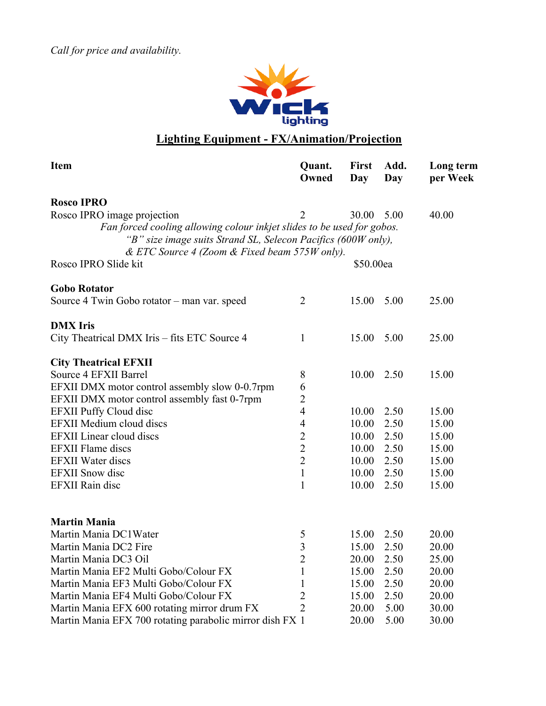*Call for price and availability.*



### **Lighting Equipment - FX/Animation/Projection**

| <b>Item</b>                                                            | Quant.<br>Owned     | First<br>Day | Add.<br>Day | Long term<br>per Week |
|------------------------------------------------------------------------|---------------------|--------------|-------------|-----------------------|
| <b>Rosco IPRO</b>                                                      |                     |              |             |                       |
| Rosco IPRO image projection                                            | $\overline{2}$      | 30.00        | 5.00        | 40.00                 |
| Fan forced cooling allowing colour inkjet slides to be used for gobos. |                     |              |             |                       |
| "B" size image suits Strand SL, Selecon Pacifics (600W only),          |                     |              |             |                       |
| & ETC Source 4 (Zoom & Fixed beam 575W only).                          |                     |              |             |                       |
| Rosco IPRO Slide kit                                                   |                     | \$50.00ea    |             |                       |
| <b>Gobo Rotator</b>                                                    |                     |              |             |                       |
| Source 4 Twin Gobo rotator – man var. speed                            | $\overline{2}$      | 15.00        | 5.00        | 25.00                 |
| <b>DMX</b> Iris                                                        |                     |              |             |                       |
| City Theatrical DMX Iris – fits ETC Source 4                           | $\mathbf{1}$        | 15.00        | 5.00        | 25.00                 |
| <b>City Theatrical EFXII</b>                                           |                     |              |             |                       |
| Source 4 EFXII Barrel                                                  | 8                   | 10.00        | 2.50        | 15.00                 |
| EFXII DMX motor control assembly slow 0-0.7rpm                         | 6                   |              |             |                       |
| EFXII DMX motor control assembly fast 0-7rpm                           | $\overline{2}$      |              |             |                       |
| <b>EFXII Puffy Cloud disc</b>                                          | $\overline{4}$      | 10.00        | 2.50        | 15.00                 |
| <b>EFXII Medium cloud discs</b>                                        | $\overline{4}$      | 10.00        | 2.50        | 15.00                 |
| <b>EFXII</b> Linear cloud discs                                        | $\overline{c}$      | 10.00        | 2.50        | 15.00                 |
| <b>EFXII Flame discs</b>                                               | $\overline{2}$      | 10.00        | 2.50        | 15.00                 |
| <b>EFXII</b> Water discs                                               | $\overline{2}$      | 10.00        | 2.50        | 15.00                 |
| <b>EFXII</b> Snow disc                                                 | $\mathbf{1}$        | 10.00        | 2.50        | 15.00                 |
| <b>EFXII Rain disc</b>                                                 | $\mathbf{1}$        | 10.00        | 2.50        | 15.00                 |
|                                                                        |                     |              |             |                       |
| <b>Martin Mania</b><br>Martin Mania DC1Water                           |                     | 15.00        | 2.50        | 20.00                 |
| Martin Mania DC2 Fire                                                  | 5<br>$\overline{3}$ | 15.00        | 2.50        | 20.00                 |
| Martin Mania DC3 Oil                                                   | $\overline{2}$      | 20.00        | 2.50        | 25.00                 |
| Martin Mania EF2 Multi Gobo/Colour FX                                  | $\mathbf{1}$        | 15.00        | 2.50        | 20.00                 |
| Martin Mania EF3 Multi Gobo/Colour FX                                  | $\mathbf{1}$        | 15.00        | 2.50        | 20.00                 |
| Martin Mania EF4 Multi Gobo/Colour FX                                  | $\overline{2}$      | 15.00        | 2.50        | 20.00                 |
| Martin Mania EFX 600 rotating mirror drum FX                           | $\overline{2}$      | 20.00        | 5.00        | 30.00                 |
| Martin Mania EFX 700 rotating parabolic mirror dish FX 1               |                     | 20.00        | 5.00        | 30.00                 |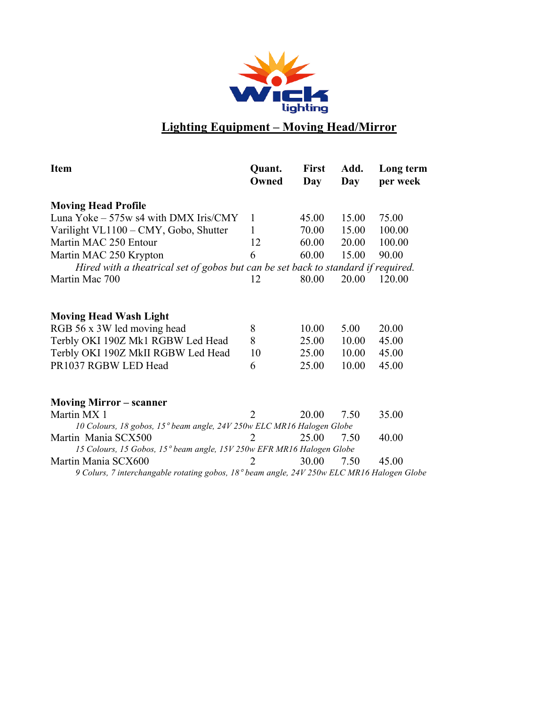

## **Lighting Equipment – Moving Head/Mirror**

| <b>Item</b>                                                                                | Quant.<br>Owned | <b>First</b><br>Day | Add.<br>Day | Long term<br>per week |
|--------------------------------------------------------------------------------------------|-----------------|---------------------|-------------|-----------------------|
| <b>Moving Head Profile</b>                                                                 |                 |                     |             |                       |
| Luna Yoke – 575w s4 with DMX Iris/CMY                                                      | $\mathbf{1}$    | 45.00               | 15.00       | 75.00                 |
| Varilight VL1100 - CMY, Gobo, Shutter                                                      | 1               | 70.00               | 15.00       | 100.00                |
| Martin MAC 250 Entour                                                                      | 12              | 60.00               | 20.00       | 100.00                |
| Martin MAC 250 Krypton                                                                     | 6               | 60.00               | 15.00       | 90.00                 |
| Hired with a theatrical set of gobos but can be set back to standard if required.          |                 |                     |             |                       |
| Martin Mac 700                                                                             | 12              | 80.00               | 20.00       | 120.00                |
| <b>Moving Head Wash Light</b>                                                              |                 |                     |             |                       |
| RGB 56 x 3W led moving head                                                                | 8               | 10.00               | 5.00        | 20.00                 |
| Terbly OKI 190Z Mk1 RGBW Led Head                                                          | 8               | 25.00               | 10.00       | 45.00                 |
| Terbly OKI 190Z MkII RGBW Led Head                                                         | 10              | 25.00               | 10.00       | 45.00                 |
| PR1037 RGBW LED Head                                                                       | 6               | 25.00               | 10.00       | 45.00                 |
| <b>Moving Mirror – scanner</b>                                                             |                 |                     |             |                       |
| Martin MX 1                                                                                | $\mathfrak{D}$  | 20.00               | 7.50        | 35.00                 |
| 10 Colours, 18 gobos, 15° beam angle, 24V 250w ELC MR16 Halogen Globe                      |                 |                     |             |                       |
| Martin Mania SCX500                                                                        | 2               | 25.00               | 7.50        | 40.00                 |
| 15 Colours, 15 Gobos, 15° beam angle, 15V 250w EFR MR16 Halogen Globe                      |                 |                     |             |                       |
| Martin Mania SCX600                                                                        | $\mathcal{P}$   | 30.00               | 7.50        | 45.00                 |
| 9 Colurs, 7 interchangable rotating gobos, 18° beam angle, 24V 250w ELC MR16 Halogen Globe |                 |                     |             |                       |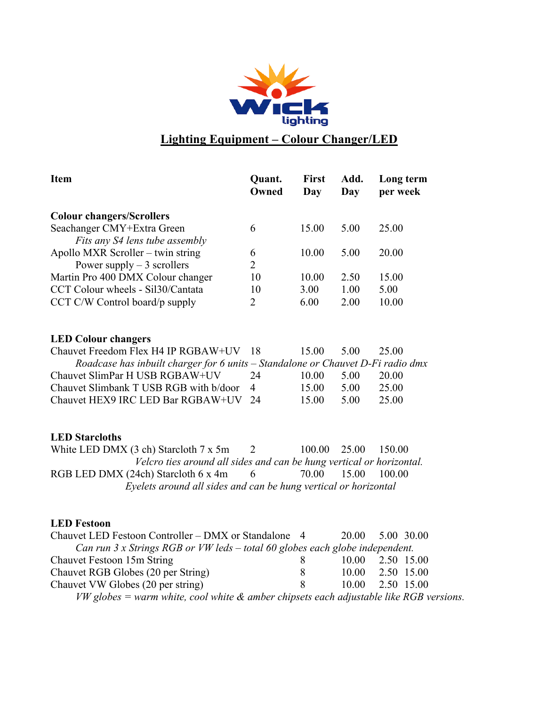

### **Lighting Equipment – Colour Changer/LED**

| <b>Item</b>                                                                     | Quant.<br>Owned     | <b>First</b><br>Day | Add.<br>Day | Long term<br>per week |  |  |  |
|---------------------------------------------------------------------------------|---------------------|---------------------|-------------|-----------------------|--|--|--|
| <b>Colour changers/Scrollers</b>                                                |                     |                     |             |                       |  |  |  |
| Seachanger CMY+Extra Green<br>Fits any S4 lens tube assembly                    | 6                   | 15.00               | 5.00        | 25.00                 |  |  |  |
| Apollo MXR Scroller – twin string<br>Power supply $-3$ scrollers                | 6<br>$\overline{2}$ | 10.00               | 5.00        | 20.00                 |  |  |  |
| Martin Pro 400 DMX Colour changer                                               | 10                  | 10.00               | 2.50        | 15.00                 |  |  |  |
| CCT Colour wheels - Sil30/Cantata                                               | 10                  | 3.00                | 1.00        | 5.00                  |  |  |  |
| $CCT C/W$ Control board/p supply                                                | 2                   | 6.00                | 2.00        | 10.00                 |  |  |  |
| <b>LED Colour changers</b>                                                      |                     |                     |             |                       |  |  |  |
| Chauvet Freedom Flex H4 IP RGBAW+UV                                             | 18                  | 15.00               | 5.00        | 25.00                 |  |  |  |
| Roadcase has inbuilt charger for 6 units - Standalone or Chauvet D-Fi radio dmx |                     |                     |             |                       |  |  |  |
| Chauvet SlimPar H USB RGBAW+UV                                                  | 24                  | 10.00               | 5.00        | 20.00                 |  |  |  |
| Chauvet Slimbank T USB RGB with b/door                                          | 4                   | 15.00               | 5.00        | 25.00                 |  |  |  |
| Chauvet HEX9 IRC LED Bar RGBAW+UV                                               | 24                  | 15.00               | 5.00        | 25.00                 |  |  |  |
| <b>LED</b> Starcloths                                                           |                     |                     |             |                       |  |  |  |
| White LED DMX $(3 \text{ ch})$ Starcloth $7 \text{ x } 5 \text{ m}$             | 2                   | 100.00              | 25.00       | 150.00                |  |  |  |
| Velcro ties around all sides and can be hung vertical or horizontal.            |                     |                     |             |                       |  |  |  |
| RGB LED DMX (24ch) Starcloth 6 x 4m                                             | 6                   | 70.00               | 15.00       | 100.00                |  |  |  |
| Eyelets around all sides and can be hung vertical or horizontal                 |                     |                     |             |                       |  |  |  |

#### **LED Festoon**

| Chauvet LED Festoon Controller – DMX or Standalone 4                                     |   | <b>20.00</b> | 5.00 30.00 |  |
|------------------------------------------------------------------------------------------|---|--------------|------------|--|
| Can run $3x$ Strings RGB or VW leds - total 60 globes each globe independent.            |   |              |            |  |
| Chauvet Festoon 15m String                                                               | 8 | 10.00        | 2.50 15.00 |  |
| Chauvet RGB Globes (20 per String)                                                       | 8 | 10.00        | 2.50 15.00 |  |
| Chauvet VW Globes (20 per string)                                                        | 8 | 10.00        | 2.50 15.00 |  |
| $VW$ globes = warm white, cool white & amber chipsets each adjustable like RGB versions. |   |              |            |  |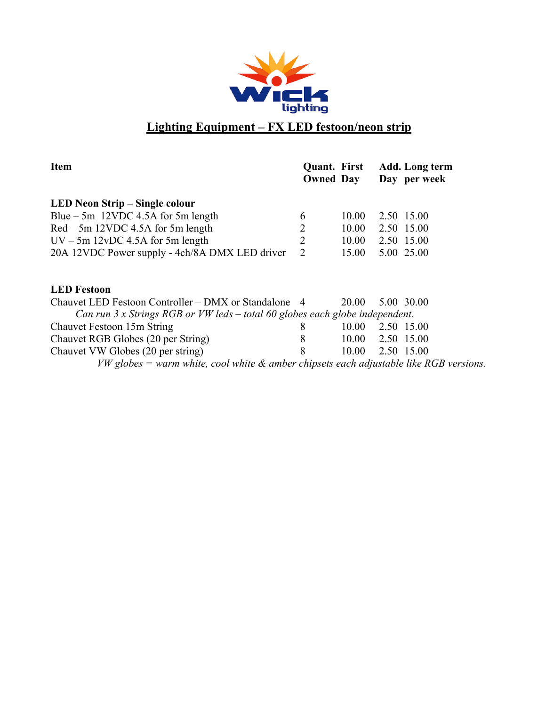

### **Lighting Equipment – FX LED festoon/neon strip**

| <b>Item</b>                                                                                 | <b>Quant.</b> First<br><b>Owned Day</b> |                  | Add. Long term<br>Day per week |
|---------------------------------------------------------------------------------------------|-----------------------------------------|------------------|--------------------------------|
| LED Neon Strip – Single colour                                                              |                                         |                  |                                |
| Blue $-5m$ 12VDC 4.5A for 5m length                                                         | 6                                       | 10.00            | 2.50 15.00                     |
| $Red - 5m$ 12VDC 4.5A for 5m length                                                         | $\overline{2}$                          | 10.00            | 2.50 15.00                     |
| $UV - 5m$ 12vDC 4.5A for 5m length                                                          | $\overline{2}$                          | 10.00 2.50 15.00 |                                |
| 20A 12VDC Power supply - 4ch/8A DMX LED driver                                              | $\overline{2}$                          | 15.00            | 5.00 25.00                     |
| <b>LED</b> Festoon                                                                          |                                         |                  |                                |
| Chauvet LED Festoon Controller – DMX or Standalone 4                                        |                                         | 20.00            | 5.00 30.00                     |
| Can run $3x$ Strings RGB or VW leds $-$ total 60 globes each globe independent.             |                                         |                  |                                |
| Chauvet Festoon 15m String                                                                  | 8                                       | 10.00            | 2.50 15.00                     |
| Chauvet RGB Globes (20 per String)                                                          | 8                                       | 10.00            | 2.50 15.00                     |
| Chauvet VW Globes (20 per string)                                                           | 8                                       | 10.00            | 2.50 15.00                     |
| $VW$ globes = warm white, cool white $\&$ amber chipsets each adjustable like RGB versions. |                                         |                  |                                |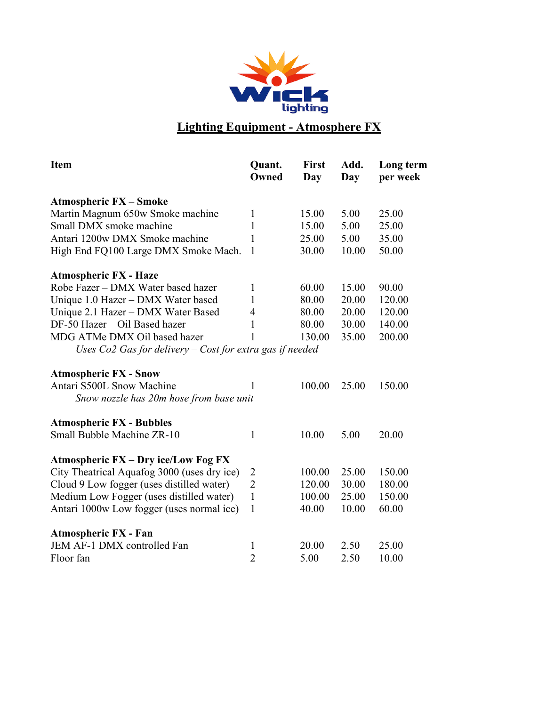

## **Lighting Equipment - Atmosphere FX**

| <b>Item</b>                                                | Quant.<br>Owned | <b>First</b><br>Day | Add.<br>Day | Long term<br>per week |
|------------------------------------------------------------|-----------------|---------------------|-------------|-----------------------|
| <b>Atmospheric FX - Smoke</b>                              |                 |                     |             |                       |
| Martin Magnum 650w Smoke machine                           | 1               | 15.00               | 5.00        | 25.00                 |
| Small DMX smoke machine                                    | $\mathbf{1}$    | 15.00               | 5.00        | 25.00                 |
| Antari 1200w DMX Smoke machine                             | $\mathbf{1}$    | 25.00               | 5.00        | 35.00                 |
| High End FQ100 Large DMX Smoke Mach.                       | 1               | 30.00               | 10.00       | 50.00                 |
| <b>Atmospheric FX - Haze</b>                               |                 |                     |             |                       |
| Robe Fazer - DMX Water based hazer                         | $\mathbf{1}$    | 60.00               | 15.00       | 90.00                 |
| Unique 1.0 Hazer - DMX Water based                         | $\mathbf{1}$    | 80.00               | 20.00       | 120.00                |
| Unique 2.1 Hazer - DMX Water Based                         | $\overline{4}$  | 80.00               | 20.00       | 120.00                |
| DF-50 Hazer - Oil Based hazer                              | $\mathbf{1}$    | 80.00               | 30.00       | 140.00                |
| MDG ATMe DMX Oil based hazer                               | 1               | 130.00              | 35.00       | 200.00                |
| Uses $Co2$ Gas for delivery – Cost for extra gas if needed |                 |                     |             |                       |
| <b>Atmospheric FX - Snow</b>                               |                 |                     |             |                       |
| Antari S500L Snow Machine                                  | 1               | 100.00              | 25.00       | 150.00                |
| Snow nozzle has 20m hose from base unit                    |                 |                     |             |                       |
| <b>Atmospheric FX - Bubbles</b>                            |                 |                     |             |                       |
| Small Bubble Machine ZR-10                                 | $\mathbf{1}$    | 10.00               | 5.00        | 20.00                 |
| <b>Atmospheric FX - Dry ice/Low Fog FX</b>                 |                 |                     |             |                       |
| City Theatrical Aquafog 3000 (uses dry ice)                | 2               | 100.00              | 25.00       | 150.00                |
| Cloud 9 Low fogger (uses distilled water)                  | $\overline{2}$  | 120.00              | 30.00       | 180.00                |
| Medium Low Fogger (uses distilled water)                   | $\mathbf{1}$    | 100.00              | 25.00       | 150.00                |
| Antari 1000w Low fogger (uses normal ice)                  | $\mathbf{1}$    | 40.00               | 10.00       | 60.00                 |
| <b>Atmospheric FX - Fan</b>                                |                 |                     |             |                       |
| JEM AF-1 DMX controlled Fan                                | $\mathbf{1}$    | 20.00               | 2.50        | 25.00                 |
| Floor fan                                                  | $\overline{2}$  | 5.00                | 2.50        | 10.00                 |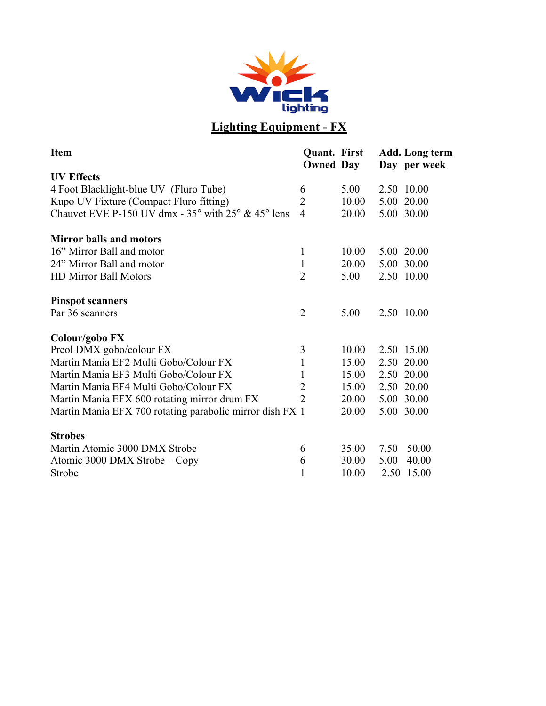

# **Lighting Equipment - FX**

| <b>Item</b>                                                                   | <b>Quant.</b> First<br><b>Owned Day</b> |       |      | <b>Add.</b> Long term<br>Day per week |
|-------------------------------------------------------------------------------|-----------------------------------------|-------|------|---------------------------------------|
| <b>UV Effects</b>                                                             |                                         |       |      |                                       |
| 4 Foot Blacklight-blue UV (Fluro Tube)                                        | 6                                       | 5.00  |      | 2.50 10.00                            |
| Kupo UV Fixture (Compact Fluro fitting)                                       | $\overline{2}$                          | 10.00 |      | 5.00 20.00                            |
| Chauvet EVE P-150 UV dmx - $35^{\circ}$ with $25^{\circ}$ & $45^{\circ}$ lens | $\overline{4}$                          | 20.00 |      | 5.00 30.00                            |
| <b>Mirror balls and motors</b>                                                |                                         |       |      |                                       |
| 16" Mirror Ball and motor                                                     | 1                                       | 10.00 |      | 5.00 20.00                            |
| 24" Mirror Ball and motor                                                     | $\mathbf{1}$                            | 20.00 |      | 5.00 30.00                            |
| <b>HD Mirror Ball Motors</b>                                                  | $\overline{2}$                          | 5.00  |      | 2.50 10.00                            |
| <b>Pinspot scanners</b>                                                       |                                         |       |      |                                       |
| Par 36 scanners                                                               | $\overline{2}$                          | 5.00  |      | 2.50 10.00                            |
| Colour/gobo FX                                                                |                                         |       |      |                                       |
| Preol DMX gobo/colour FX                                                      | 3                                       | 10.00 |      | 2.50 15.00                            |
| Martin Mania EF2 Multi Gobo/Colour FX                                         | $\mathbf{1}$                            | 15.00 |      | 2.50 20.00                            |
| Martin Mania EF3 Multi Gobo/Colour FX                                         | $\mathbf{1}$                            | 15.00 |      | 2.50 20.00                            |
| Martin Mania EF4 Multi Gobo/Colour FX                                         | $\overline{2}$                          | 15.00 |      | 2.50 20.00                            |
| Martin Mania EFX 600 rotating mirror drum FX                                  | $\overline{2}$                          | 20.00 |      | 5.00 30.00                            |
| Martin Mania EFX 700 rotating parabolic mirror dish FX 1                      |                                         | 20.00 |      | 5.00 30.00                            |
| <b>Strobes</b>                                                                |                                         |       |      |                                       |
| Martin Atomic 3000 DMX Strobe                                                 | 6                                       | 35.00 | 7.50 | 50.00                                 |
| Atomic 3000 DMX Strobe – Copy                                                 | 6                                       | 30.00 | 5.00 | 40.00                                 |
| Strobe                                                                        | 1                                       | 10.00 |      | 2.50 15.00                            |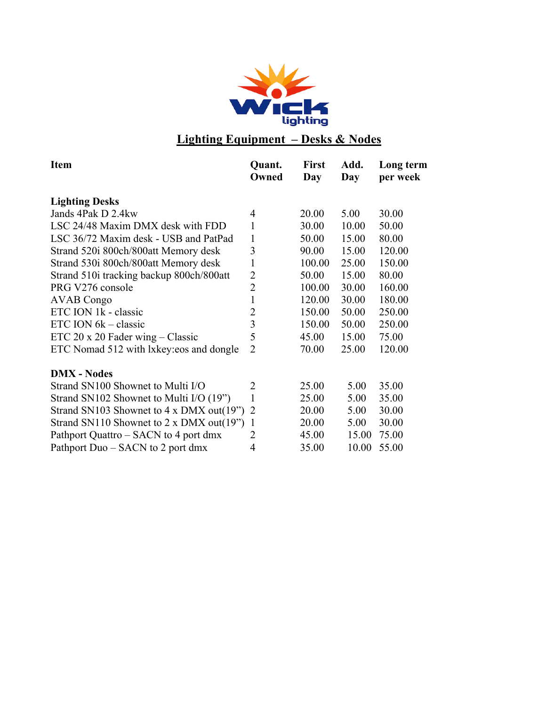

## **Lighting Equipment – Desks & Nodes**

| <b>Item</b>                                     | Quant.<br>Owned | <b>First</b><br>Day | Add.<br>Day | Long term<br>per week |
|-------------------------------------------------|-----------------|---------------------|-------------|-----------------------|
| <b>Lighting Desks</b>                           |                 |                     |             |                       |
| Jands 4Pak D 2.4kw                              | $\overline{4}$  | 20.00               | 5.00        | 30.00                 |
| LSC 24/48 Maxim DMX desk with FDD               | $\mathbf{1}$    | 30.00               | 10.00       | 50.00                 |
| LSC 36/72 Maxim desk - USB and PatPad           | $\mathbf{1}$    | 50.00               | 15.00       | 80.00                 |
| Strand 520i 800ch/800att Memory desk            | 3               | 90.00               | 15.00       | 120.00                |
| Strand 530i 800ch/800att Memory desk            | $\mathbf{1}$    | 100.00              | 25.00       | 150.00                |
| Strand 510i tracking backup 800ch/800att        | $\overline{2}$  | 50.00               | 15.00       | 80.00                 |
| PRG V276 console                                | $\overline{2}$  | 100.00              | 30.00       | 160.00                |
| <b>AVAB</b> Congo                               | $\mathbf{1}$    | 120.00              | 30.00       | 180.00                |
| ETC ION 1k - classic                            | $\overline{2}$  | 150.00              | 50.00       | 250.00                |
| $ETC$ ION $6k - \text{classic}$                 | 3               | 150.00              | 50.00       | 250.00                |
| ETC 20 x 20 Fader wing $-$ Classic              | 5               | 45.00               | 15.00       | 75.00                 |
| ETC Nomad 512 with lxkey: eos and dongle        | $\overline{2}$  | 70.00               | 25.00       | 120.00                |
| <b>DMX</b> - Nodes                              |                 |                     |             |                       |
| Strand SN100 Shownet to Multi I/O               | $\overline{2}$  | 25.00               | 5.00        | 35.00                 |
| Strand SN102 Shownet to Multi I/O (19")         | $\mathbf{1}$    | 25.00               | 5.00        | 35.00                 |
| Strand SN103 Shownet to 4 x DMX out(19") 2      |                 | 20.00               | 5.00        | 30.00                 |
| Strand SN110 Shownet to $2 \times DMX$ out(19") | -1              | 20.00               | 5.00        | 30.00                 |
| Pathport Quattro – SACN to 4 port dmx           | 2               | 45.00               | 15.00       | 75.00                 |
| Pathport Duo – SACN to 2 port dmx               | 4               | 35.00               | 10.00       | 55.00                 |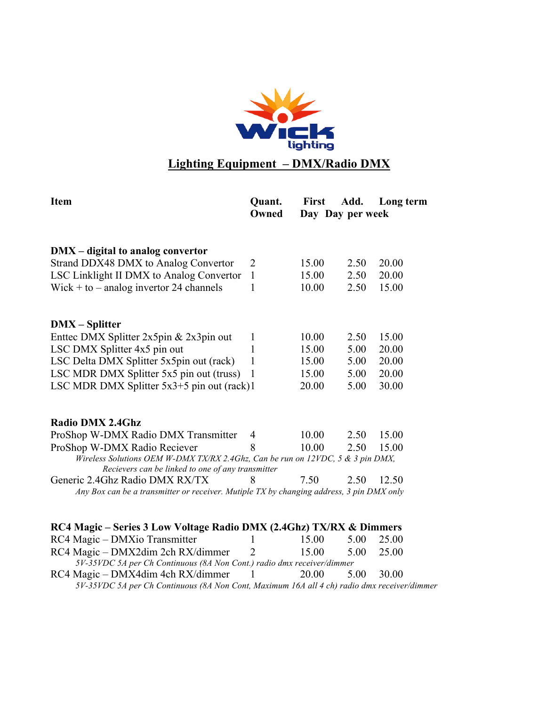

### **Lighting Equipment – DMX/Radio DMX**

| <b>Item</b>                                                                                 | Quant.<br>Owned | <b>First</b> | Add.<br>Day Day per week | Long term |
|---------------------------------------------------------------------------------------------|-----------------|--------------|--------------------------|-----------|
|                                                                                             |                 |              |                          |           |
| $DMX - digital to analog converter$<br>Strand DDX48 DMX to Analog Convertor                 | 2               | 15.00        | 2.50                     | 20.00     |
|                                                                                             |                 |              |                          |           |
| LSC Linklight II DMX to Analog Convertor                                                    | $\mathbf{1}$    | 15.00        | 2.50                     | 20.00     |
| Wick + to $-$ analog invertor 24 channels                                                   | 1               | 10.00        | 2.50                     | 15.00     |
| <b>DMX</b> – Splitter                                                                       |                 |              |                          |           |
| Enttec DMX Splitter 2x5pin & 2x3pin out                                                     | 1               | 10.00        | 2.50                     | 15.00     |
| LSC DMX Splitter 4x5 pin out                                                                | 1               | 15.00        | 5.00                     | 20.00     |
| LSC Delta DMX Splitter 5x5pin out (rack)                                                    | 1               | 15.00        | 5.00                     | 20.00     |
| LSC MDR DMX Splitter 5x5 pin out (truss)                                                    | 1               | 15.00        | 5.00                     | 20.00     |
| LSC MDR DMX Splitter 5x3+5 pin out (rack)1                                                  |                 | 20.00        | 5.00                     | 30.00     |
| <b>Radio DMX 2.4Ghz</b>                                                                     |                 |              |                          |           |
| ProShop W-DMX Radio DMX Transmitter                                                         | 4               | 10.00        | 2.50                     | 15.00     |
| ProShop W-DMX Radio Reciever                                                                | 8               | 10.00        | 2.50                     | 15.00     |
| Wireless Solutions OEM W-DMX TX/RX 2.4Ghz, Can be run on 12VDC, 5 & 3 pin DMX,              |                 |              |                          |           |
| Recievers can be linked to one of any transmitter<br>Generic 2.4Ghz Radio DMX RX/TX         | 8               | 7.50         | 2.50                     | 12.50     |
| Any Box can be a transmitter or receiver. Mutiple TX by changing address, 3 pin DMX only    |                 |              |                          |           |
|                                                                                             |                 |              |                          |           |
| RC4 Magic – Series 3 Low Voltage Radio DMX (2.4Ghz) TX/RX & Dimmers                         |                 |              |                          |           |
| RC4 Magic – DMXio Transmitter                                                               | L               | 15.00        | 5.00                     | 25.00     |
| RC4 Magic - DMX2dim 2ch RX/dimmer                                                           | $\overline{2}$  | 15.00        | 5.00                     | 25.00     |
| 5V-35VDC 5A per Ch Continuous (8A Non Cont.) radio dmx receiver/dimmer                      |                 |              |                          |           |
| RC4 Magic – DMX4dim 4ch RX/dimmer                                                           |                 | 20.00        | 5.00                     | 30.00     |
| 5V-35VDC 5A per Ch Continuous (8A Non Cont, Maximum 16A all 4 ch) radio dmx receiver/dimmer |                 |              |                          |           |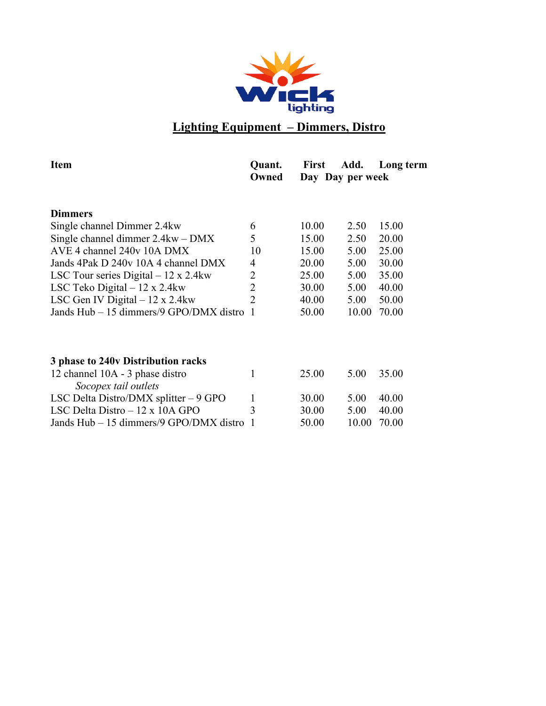

## **Lighting Equipment – Dimmers, Distro**

| <b>Item</b>                                             | Quant.       | <b>First</b>     | Add.  | Long term |  |
|---------------------------------------------------------|--------------|------------------|-------|-----------|--|
|                                                         | Owned        | Day Day per week |       |           |  |
| <b>Dimmers</b>                                          |              |                  |       |           |  |
|                                                         |              |                  |       |           |  |
| Single channel Dimmer 2.4 kw                            | 6            | 10.00            | 2.50  | 15.00     |  |
| Single channel dimmer $2.4 \text{kw} - \text{DMX}$      | 5            | 15.00            | 2.50  | 20.00     |  |
| AVE 4 channel 240y 10A DMX                              | 10           | 15.00            | 5.00  | 25.00     |  |
| Jands 4Pak D 240y 10A 4 channel DMX                     | 4            | 20.00            | 5.00  | 30.00     |  |
| LSC Tour series Digital $-12 \times 2.4$ kw             | 2            | 25.00            | 5.00  | 35.00     |  |
| LSC Teko Digital $-12 \times 2.4$ kw                    | 2            | 30.00            | 5.00  | 40.00     |  |
| LSC Gen IV Digital $-12 \times 2.4$ kw                  | 2            | 40.00            | 5.00  | 50.00     |  |
| Jands Hub – 15 dimmers/9 GPO/DMX distro                 | 1            | 50.00            | 10.00 | 70.00     |  |
|                                                         |              |                  |       |           |  |
| 3 phase to 240v Distribution racks                      |              |                  |       |           |  |
| 12 channel 10A - 3 phase distro<br>Socopex tail outlets | 1            | 25.00            | 5.00  | 35.00     |  |
|                                                         |              |                  |       |           |  |
| LSC Delta Distro/DMX splitter $-9$ GPO                  | $\mathbf{1}$ | 30.00            | 5.00  | 40.00     |  |
| LSC Delta Distro $-12 \times 10A$ GPO                   | 3            | 30.00            | 5.00  | 40.00     |  |
| Jands Hub – 15 dimmers/9 GPO/DMX distro                 | 1            | 50.00            | 10.00 | 70.00     |  |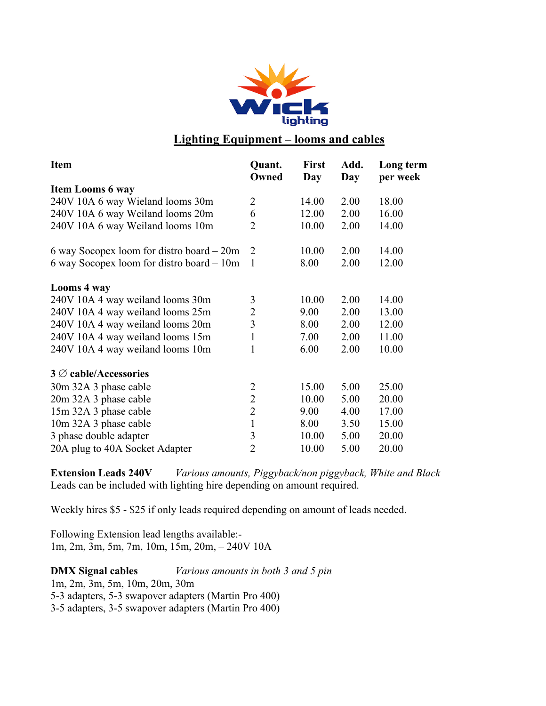

### **Lighting Equipment – looms and cables**

| <b>Item</b>                               | Quant.<br>Owned | <b>First</b><br>Day | Add.<br>Day | Long term<br>per week |
|-------------------------------------------|-----------------|---------------------|-------------|-----------------------|
| <b>Item Looms 6 way</b>                   |                 |                     |             |                       |
| 240V 10A 6 way Wieland looms 30m          | $\overline{2}$  | 14.00               | 2.00        | 18.00                 |
| 240V 10A 6 way Weiland looms 20m          | 6               | 12.00               | 2.00        | 16.00                 |
| 240V 10A 6 way Weiland looms 10m          | $\overline{2}$  | 10.00               | 2.00        | 14.00                 |
| 6 way Socopex loom for distroboard $-20m$ | $\overline{2}$  | 10.00               | 2.00        | 14.00                 |
| 6 way Socopex loom for distro board - 10m | $\mathbf{1}$    | 8.00                | 2.00        | 12.00                 |
| Looms 4 way                               |                 |                     |             |                       |
| 240V 10A 4 way weiland looms 30m          | 3               | 10.00               | 2.00        | 14.00                 |
| 240V 10A 4 way weiland looms 25m          | $\overline{2}$  | 9.00                | 2.00        | 13.00                 |
| 240V 10A 4 way weiland looms 20m          | 3               | 8.00                | 2.00        | 12.00                 |
| 240V 10A 4 way weiland looms 15m          | $\mathbf{1}$    | 7.00                | 2.00        | 11.00                 |
| 240V 10A 4 way weiland looms 10m          | 1               | 6.00                | 2.00        | 10.00                 |
| $3 \oslash$ cable/Accessories             |                 |                     |             |                       |
| 30m 32A 3 phase cable                     | 2               | 15.00               | 5.00        | 25.00                 |
| 20m 32A 3 phase cable                     | $\overline{2}$  | 10.00               | 5.00        | 20.00                 |
| 15m 32A 3 phase cable                     | $\overline{2}$  | 9.00                | 4.00        | 17.00                 |
| 10m 32A 3 phase cable                     | $\mathbf{1}$    | 8.00                | 3.50        | 15.00                 |
| 3 phase double adapter                    | 3               | 10.00               | 5.00        | 20.00                 |
| 20A plug to 40A Socket Adapter            | $\overline{2}$  | 10.00               | 5.00        | 20.00                 |

**Extension Leads 240V** *Various amounts, Piggyback/non piggyback, White and Black* Leads can be included with lighting hire depending on amount required.

Weekly hires \$5 - \$25 if only leads required depending on amount of leads needed.

Following Extension lead lengths available:- 1m, 2m, 3m, 5m, 7m, 10m, 15m, 20m, – 240V 10A

**DMX Signal cables** *Various amounts in both 3 and 5 pin* 1m, 2m, 3m, 5m, 10m, 20m, 30m 5-3 adapters, 5-3 swapover adapters (Martin Pro 400) 3-5 adapters, 3-5 swapover adapters (Martin Pro 400)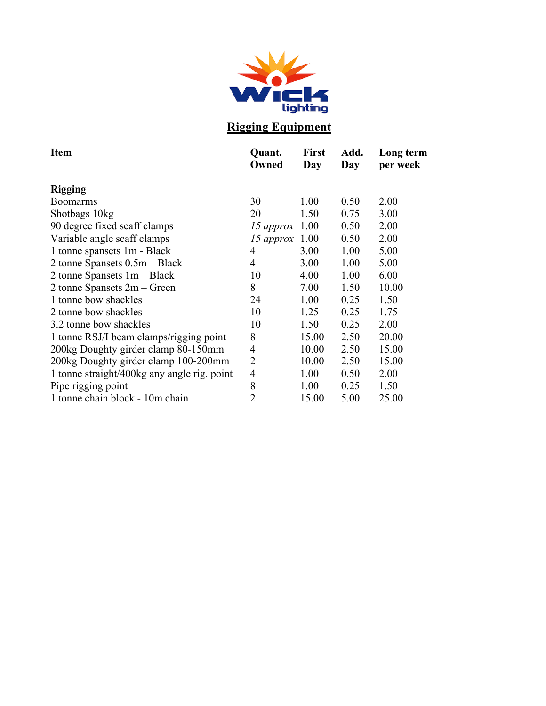

## **Rigging Equipment**

| <b>Item</b>                                 | Quant.<br>Owned | <b>First</b><br>Day | Add.<br>Day | Long term<br>per week |
|---------------------------------------------|-----------------|---------------------|-------------|-----------------------|
| <b>Rigging</b>                              |                 |                     |             |                       |
| <b>Boomarms</b>                             | 30              | 1.00                | 0.50        | 2.00                  |
| Shotbags 10kg                               | 20              | 1.50                | 0.75        | 3.00                  |
| 90 degree fixed scaff clamps                | 15 approx       | 1.00                | 0.50        | 2.00                  |
| Variable angle scaff clamps                 | 15 approx       | 1.00                | 0.50        | 2.00                  |
| 1 tonne spansets 1m - Black                 | 4               | 3.00                | 1.00        | 5.00                  |
| 2 tonne Spansets $0.5m - Black$             | $\overline{4}$  | 3.00                | 1.00        | 5.00                  |
| 2 tonne Spansets $1m - Black$               | 10              | 4.00                | 1.00        | 6.00                  |
| 2 tonne Spansets $2m - Green$               | 8               | 7.00                | 1.50        | 10.00                 |
| 1 tonne bow shackles                        | 24              | 1.00                | 0.25        | 1.50                  |
| 2 tonne bow shackles                        | 10              | 1.25                | 0.25        | 1.75                  |
| 3.2 tonne bow shackles                      | 10              | 1.50                | 0.25        | 2.00                  |
| 1 tonne RSJ/I beam clamps/rigging point     | 8               | 15.00               | 2.50        | 20.00                 |
| 200kg Doughty girder clamp 80-150mm         | 4               | 10.00               | 2.50        | 15.00                 |
| 200kg Doughty girder clamp 100-200mm        | $\overline{2}$  | 10.00               | 2.50        | 15.00                 |
| 1 tonne straight/400kg any angle rig. point | 4               | 1.00                | 0.50        | 2.00                  |
| Pipe rigging point                          | 8               | 1.00                | 0.25        | 1.50                  |
| 1 tonne chain block - 10m chain             | 2               | 15.00               | 5.00        | 25.00                 |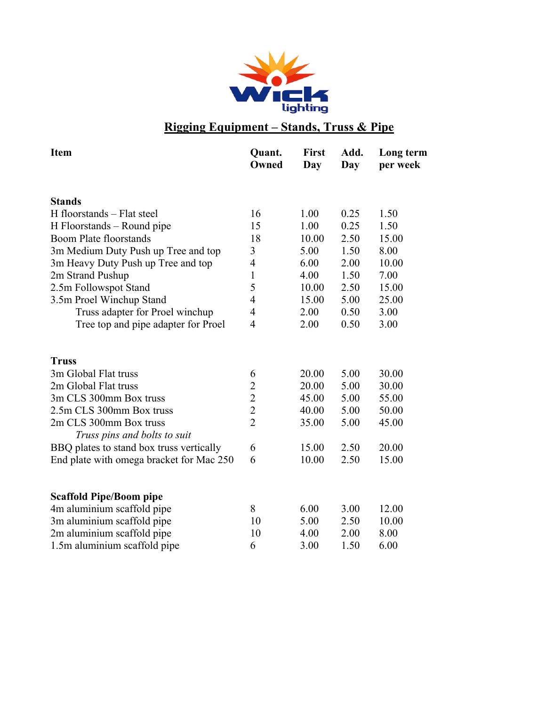

### **Rigging Equipment – Stands, Truss & Pipe**

| <b>Item</b>                              | Quant.<br>Owned | <b>First</b><br>Day | Add.<br>Day | Long term<br>per week |
|------------------------------------------|-----------------|---------------------|-------------|-----------------------|
| <b>Stands</b>                            |                 |                     |             |                       |
| H floorstands – Flat steel               | 16              | 1.00                | 0.25        | 1.50                  |
| H Floorstands – Round pipe               | 15              | 1.00                | 0.25        | 1.50                  |
| <b>Boom Plate floorstands</b>            | 18              | 10.00               | 2.50        | 15.00                 |
| 3m Medium Duty Push up Tree and top      | 3               | 5.00                | 1.50        | 8.00                  |
| 3m Heavy Duty Push up Tree and top       | 4               | 6.00                | 2.00        | 10.00                 |
| 2m Strand Pushup                         | $\mathbf{1}$    | 4.00                | 1.50        | 7.00                  |
| 2.5m Followspot Stand                    | 5               | 10.00               | 2.50        | 15.00                 |
| 3.5m Proel Winchup Stand                 | $\overline{4}$  | 15.00               | 5.00        | 25.00                 |
| Truss adapter for Proel winchup          | 4               | 2.00                | 0.50        | 3.00                  |
| Tree top and pipe adapter for Proel      | $\overline{4}$  | 2.00                | 0.50        | 3.00                  |
| <b>Truss</b>                             |                 |                     |             |                       |
| 3m Global Flat truss                     | 6               | 20.00               | 5.00        | 30.00                 |
| 2m Global Flat truss                     | $\overline{c}$  | 20.00               | 5.00        | 30.00                 |
| 3m CLS 300mm Box truss                   | $\overline{c}$  | 45.00               | 5.00        | 55.00                 |
| 2.5m CLS 300mm Box truss                 | $\overline{2}$  | 40.00               | 5.00        | 50.00                 |
| 2m CLS 300mm Box truss                   | $\overline{2}$  | 35.00               | 5.00        | 45.00                 |
| Truss pins and bolts to suit             |                 |                     |             |                       |
| BBQ plates to stand box truss vertically | 6               | 15.00               | 2.50        | 20.00                 |
| End plate with omega bracket for Mac 250 | 6               | 10.00               | 2.50        | 15.00                 |
| <b>Scaffold Pipe/Boom pipe</b>           |                 |                     |             |                       |
| 4m aluminium scaffold pipe               | 8               | 6.00                | 3.00        | 12.00                 |
| 3m aluminium scaffold pipe               | 10              | 5.00                | 2.50        | 10.00                 |
| 2m aluminium scaffold pipe               | 10              | 4.00                | 2.00        | 8.00                  |
| 1.5m aluminium scaffold pipe             | 6               | 3.00                | 1.50        | 6.00                  |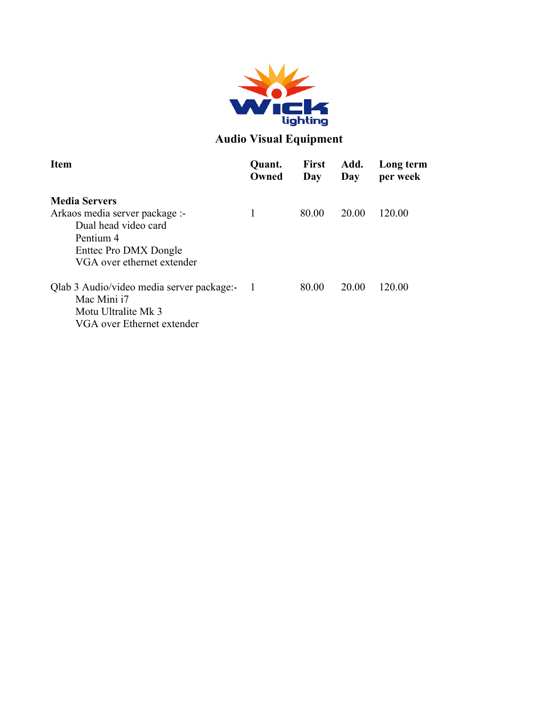

### **Audio Visual Equipment**

| <b>Item</b>                                                                                                                | Quant.<br>Owned | <b>First</b><br>Day | Add.<br>Day | Long term<br>per week |
|----------------------------------------------------------------------------------------------------------------------------|-----------------|---------------------|-------------|-----------------------|
| <b>Media Servers</b>                                                                                                       |                 |                     |             |                       |
| Arkaos media server package :-<br>Dual head video card<br>Pentium 4<br>Enttec Pro DMX Dongle<br>VGA over ethernet extender | 1               | 80.00               | 20.00       | 120.00                |
| Qlab 3 Audio/video media server package:-<br>Mac Mini i7<br>Motu Ultralite Mk 3<br>VGA over Ethernet extender              |                 | 80.00               | 20.00       | 120.00                |